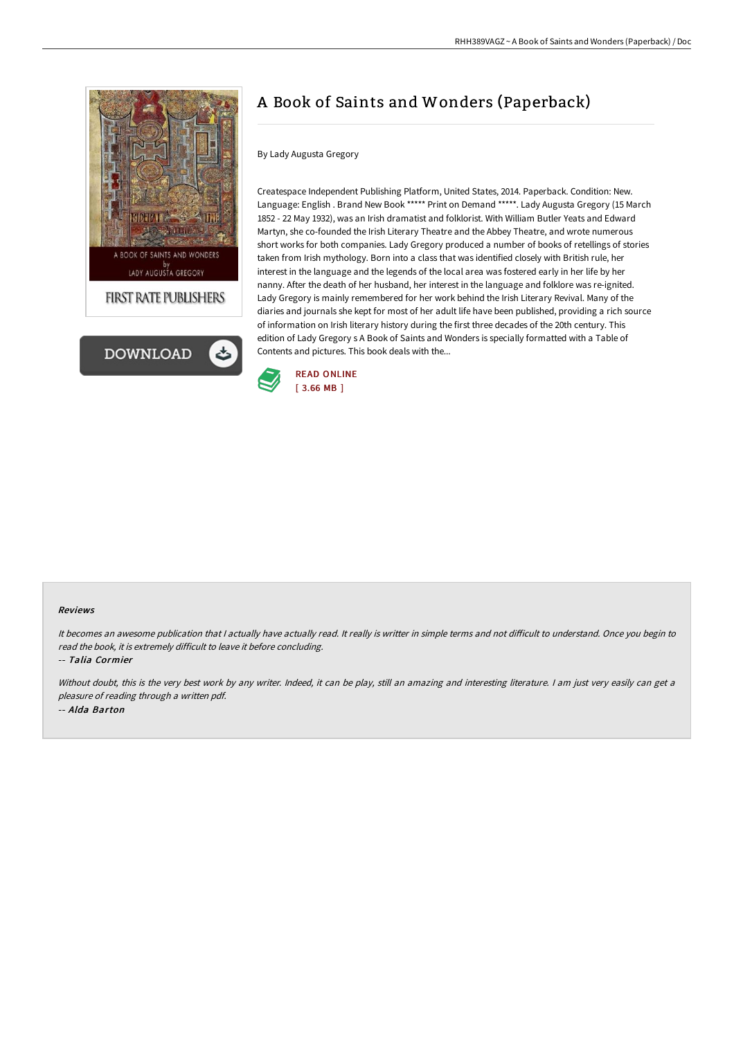



## A Book of Saints and Wonders (Paperback)

## By Lady Augusta Gregory

Createspace Independent Publishing Platform, United States, 2014. Paperback. Condition: New. Language: English . Brand New Book \*\*\*\*\* Print on Demand \*\*\*\*\*. Lady Augusta Gregory (15 March 1852 - 22 May 1932), was an Irish dramatist and folklorist. With William Butler Yeats and Edward Martyn, she co-founded the Irish Literary Theatre and the Abbey Theatre, and wrote numerous short works for both companies. Lady Gregory produced a number of books of retellings of stories taken from Irish mythology. Born into a class that was identified closely with British rule, her interest in the language and the legends of the local area was fostered early in her life by her nanny. After the death of her husband, her interest in the language and folklore was re-ignited. Lady Gregory is mainly remembered for her work behind the Irish Literary Revival. Many of the diaries and journals she kept for most of her adult life have been published, providing a rich source of information on Irish literary history during the first three decades of the 20th century. This edition of Lady Gregory s A Book of Saints and Wonders is specially formatted with a Table of Contents and pictures. This book deals with the...



## Reviews

It becomes an awesome publication that I actually have actually read. It really is writter in simple terms and not difficult to understand. Once you begin to read the book, it is extremely difficult to leave it before concluding.

-- Talia Cormier

Without doubt, this is the very best work by any writer. Indeed, it can be play, still an amazing and interesting literature. I am just very easily can get a pleasure of reading through <sup>a</sup> written pdf. -- Alda Barton